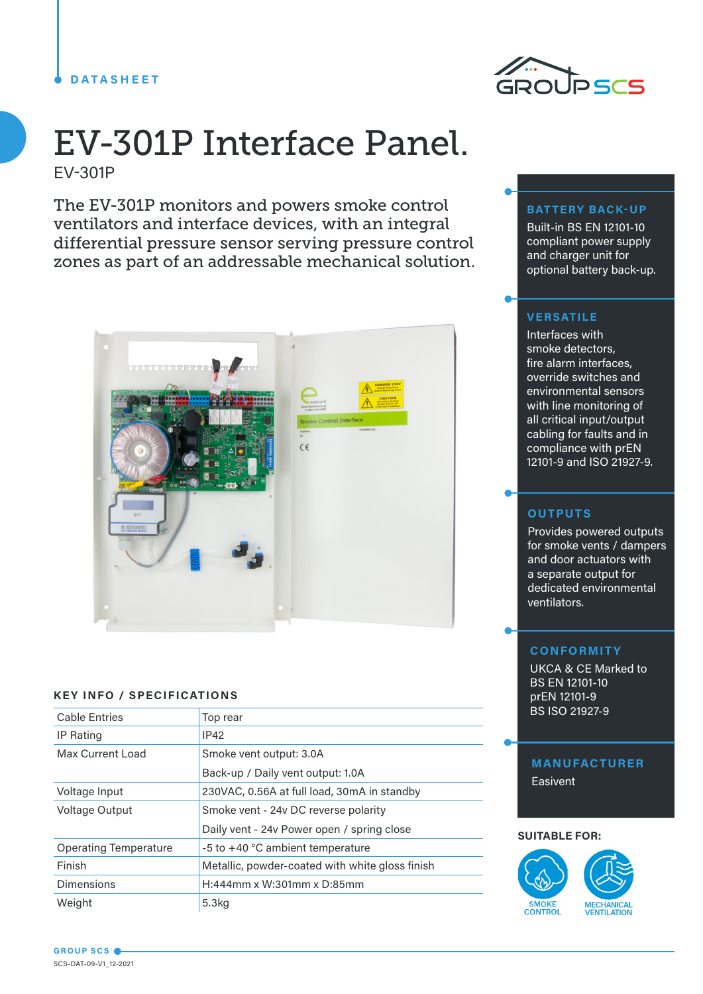# **DATASHEET**



# EV-301P Interface Panel. EV-301P

The EV-301P monitors and powers smoke control ventilators and interface devices, with an integral differential pressure sensor serving pressure control zones as part of an addressable mechanical solution.



## **KEY INFO / SPECIFICATIONS**

| <b>Cable Entries</b>         | Top rear                                        |  |
|------------------------------|-------------------------------------------------|--|
| <b>IP Rating</b>             | <b>IP42</b>                                     |  |
| Max Current Load             | Smoke vent output: 3.0A                         |  |
|                              | Back-up / Daily vent output: 1.0A               |  |
| Voltage Input                | 230VAC, 0.56A at full load, 30mA in standby     |  |
| <b>Voltage Output</b>        | Smoke vent - 24v DC reverse polarity            |  |
|                              | Daily vent - 24v Power open / spring close      |  |
| <b>Operating Temperature</b> | -5 to +40 °C ambient temperature                |  |
| Finish                       | Metallic, powder-coated with white gloss finish |  |
| <b>Dimensions</b>            | H:444mm x W:301mm x D:85mm                      |  |
| Weight                       | 5.3 <sub>kq</sub>                               |  |

#### **BATTERY BACK-UP**

Built-in BS EN 12101-10 compliant power supply and charger unit for optional battery back-up.

# **VERSATILE**

Interfaces with smoke detectors, fire alarm interfaces, override switches and environmental sensors with line monitoring of all critical input/output cabling for faults and in compliance with prEN 12101-9 and ISO 21927-9.

## **OUTPUTS**

Provides powered outputs for smoke vents / dampers and door actuators with a separate output for dedicated environmental ventilators.

#### **CONFORMITY**

UKCA & CE Marked to BS EN 12101-10 prEN 12101-9 BS ISO 21927-9

# **MANUFACTURER Easivent**

#### **SUITABLE FOR:**